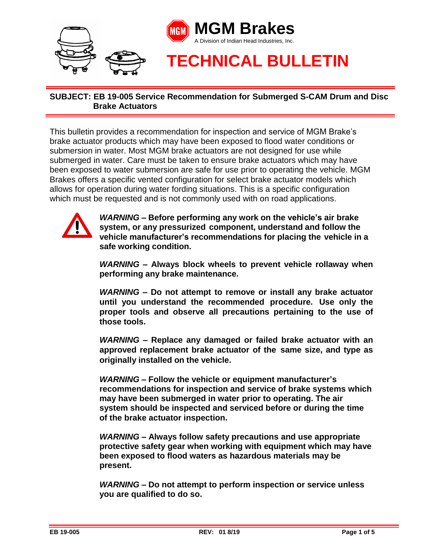

This bulletin provides a recommendation for inspection and service of MGM Brake's brake actuator products which may have been exposed to flood water conditions or submersion in water. Most MGM brake actuators are not designed for use while submerged in water. Care must be taken to ensure brake actuators which may have been exposed to water submersion are safe for use prior to operating the vehicle. MGM Brakes offers a specific vented configuration for select brake actuator models which allows for operation during water fording situations. This is a specific configuration which must be requested and is not commonly used with on road applications.



*WARNING* **– Before performing any work on the vehicle's air brake system, or any pressurized component, understand and follow the vehicle manufacturer's recommendations for placing the vehicle in a safe working condition.**

*WARNING* **– Always block wheels to prevent vehicle rollaway when performing any brake maintenance.**

*WARNING* **– Do not attempt to remove or install any brake actuator until you understand the recommended procedure. Use only the proper tools and observe all precautions pertaining to the use of those tools.**

*WARNING* **– Replace any damaged or failed brake actuator with an approved replacement brake actuator of the same size, and type as originally installed on the vehicle.**

*WARNING* **– Follow the vehicle or equipment manufacturer's recommendations for inspection and service of brake systems which may have been submerged in water prior to operating. The air system should be inspected and serviced before or during the time of the brake actuator inspection.** 

*WARNING* **– Always follow safety precautions and use appropriate protective safety gear when working with equipment which may have been exposed to flood waters as hazardous materials may be present.** 

*WARNING* **– Do not attempt to perform inspection or service unless you are qualified to do so.**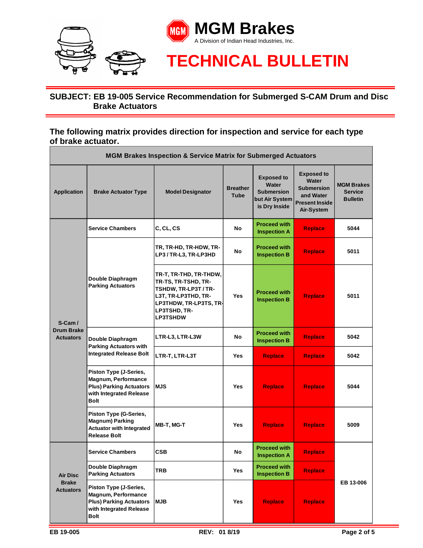

#### **The following matrix provides direction for inspection and service for each type of brake actuator.**

| <b>MGM Brakes Inspection &amp; Service Matrix for Submerged Actuators</b> |                                                                                                                           |                                                                                                                                                           |                                |                                                                                    |                                                                                                            |                                                        |
|---------------------------------------------------------------------------|---------------------------------------------------------------------------------------------------------------------------|-----------------------------------------------------------------------------------------------------------------------------------------------------------|--------------------------------|------------------------------------------------------------------------------------|------------------------------------------------------------------------------------------------------------|--------------------------------------------------------|
| <b>Application</b>                                                        | <b>Brake Actuator Type</b>                                                                                                | <b>Model Designator</b>                                                                                                                                   | <b>Breather</b><br><b>Tube</b> | <b>Exposed to</b><br>Water<br><b>Submersion</b><br>but Air System<br>is Dry Inside | <b>Exposed to</b><br><b>Water</b><br><b>Submersion</b><br>and Water<br><b>Present Inside</b><br>Air-System | <b>MGM Brakes</b><br><b>Service</b><br><b>Bulletin</b> |
| $S-Cam/$<br><b>Drum Brake</b><br><b>Actuators</b>                         | <b>Service Chambers</b>                                                                                                   | C, CL, CS                                                                                                                                                 | No                             | <b>Proceed with</b><br><b>Inspection A</b>                                         | <b>Replace</b>                                                                                             | 5044                                                   |
|                                                                           | Double Diaphragm<br><b>Parking Actuators</b>                                                                              | TR, TR-HD, TR-HDW, TR-<br>LP3 / TR-L3, TR-LP3HD                                                                                                           | No                             | <b>Proceed with</b><br><b>Inspection B</b>                                         | <b>Replace</b>                                                                                             | 5011                                                   |
|                                                                           |                                                                                                                           | TR-T, TR-THD, TR-THDW,<br>TR-TS, TR-TSHD, TR-<br>TSHDW, TR-LP3T / TR-<br>L3T, TR-LP3THD, TR-<br>LP3THDW, TR-LP3TS, TR-<br>LP3TSHD, TR-<br><b>LP3TSHDW</b> | <b>Yes</b>                     | <b>Proceed with</b><br><b>Inspection B</b>                                         | <b>Replace</b>                                                                                             | 5011                                                   |
|                                                                           | Double Diaphragm<br><b>Parking Actuators with</b><br><b>Integrated Release Bolt</b>                                       | LTR-L3, LTR-L3W                                                                                                                                           | <b>No</b>                      | <b>Proceed with</b><br><b>Inspection B</b>                                         | <b>Replace</b>                                                                                             | 5042                                                   |
|                                                                           |                                                                                                                           | LTR-T, LTR-L3T                                                                                                                                            | <b>Yes</b>                     | <b>Replace</b>                                                                     | <b>Replace</b>                                                                                             | 5042                                                   |
|                                                                           | Piston Type (J-Series,<br>Magnum, Performance<br><b>Plus) Parking Actuators</b><br>with Integrated Release<br>Bolt        | <b>IMJS</b>                                                                                                                                               | <b>Yes</b>                     | <b>Replace</b>                                                                     | <b>Replace</b>                                                                                             | 5044                                                   |
|                                                                           | <b>Piston Type (G-Series,</b><br><b>Magnum) Parking</b><br><b>Actuator with Integrated</b><br><b>Release Bolt</b>         | MB-T, MG-T                                                                                                                                                | <b>Yes</b>                     | <b>Replace</b>                                                                     | <b>Replace</b>                                                                                             | 5009                                                   |
| <b>Air Disc</b><br><b>Brake</b><br><b>Actuators</b>                       | <b>Service Chambers</b>                                                                                                   | <b>CSB</b>                                                                                                                                                | No                             | <b>Proceed with</b><br><b>Inspection A</b>                                         | <b>Replace</b>                                                                                             | EB 13-006                                              |
|                                                                           | Double Diaphragm<br><b>Parking Actuators</b>                                                                              | TRB                                                                                                                                                       | Yes                            | <b>Proceed with</b><br><b>Inspection B</b>                                         | <b>Replace</b>                                                                                             |                                                        |
|                                                                           | Piston Type (J-Series,<br><b>Magnum, Performance</b><br><b>Plus) Parking Actuators</b><br>with Integrated Release<br>Bolt | <b>MJB</b>                                                                                                                                                | Yes                            | <b>Replace</b>                                                                     | Replace                                                                                                    |                                                        |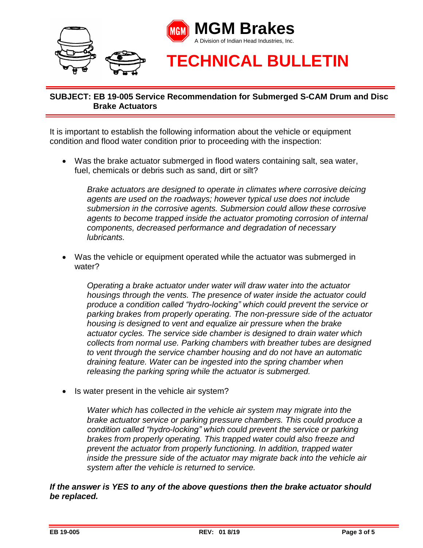

It is important to establish the following information about the vehicle or equipment condition and flood water condition prior to proceeding with the inspection:

 Was the brake actuator submerged in flood waters containing salt, sea water, fuel, chemicals or debris such as sand, dirt or silt?

*Brake actuators are designed to operate in climates where corrosive deicing agents are used on the roadways; however typical use does not include submersion in the corrosive agents. Submersion could allow these corrosive agents to become trapped inside the actuator promoting corrosion of internal components, decreased performance and degradation of necessary lubricants.*

 Was the vehicle or equipment operated while the actuator was submerged in water?

*Operating a brake actuator under water will draw water into the actuator housings through the vents. The presence of water inside the actuator could produce a condition called "hydro-locking" which could prevent the service or parking brakes from properly operating. The non-pressure side of the actuator housing is designed to vent and equalize air pressure when the brake actuator cycles. The service side chamber is designed to drain water which collects from normal use. Parking chambers with breather tubes are designed to vent through the service chamber housing and do not have an automatic draining feature. Water can be ingested into the spring chamber when releasing the parking spring while the actuator is submerged.* 

• Is water present in the vehicle air system?

*Water which has collected in the vehicle air system may migrate into the brake actuator service or parking pressure chambers. This could produce a condition called "hydro-locking" which could prevent the service or parking brakes from properly operating. This trapped water could also freeze and prevent the actuator from properly functioning. In addition, trapped water inside the pressure side of the actuator may migrate back into the vehicle air system after the vehicle is returned to service.* 

*If the answer is YES to any of the above questions then the brake actuator should be replaced.*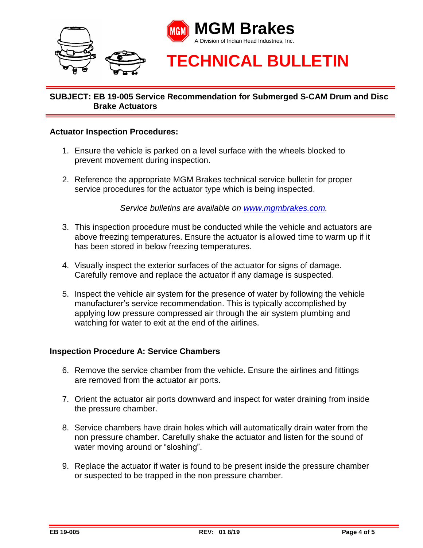

#### **Actuator Inspection Procedures:**

- 1. Ensure the vehicle is parked on a level surface with the wheels blocked to prevent movement during inspection.
- 2. Reference the appropriate MGM Brakes technical service bulletin for proper service procedures for the actuator type which is being inspected.

*Service bulletins are available on [www.mgmbrakes.com.](http://www.mgmbrakes.com/)*

- 3. This inspection procedure must be conducted while the vehicle and actuators are above freezing temperatures. Ensure the actuator is allowed time to warm up if it has been stored in below freezing temperatures.
- 4. Visually inspect the exterior surfaces of the actuator for signs of damage. Carefully remove and replace the actuator if any damage is suspected.
- 5. Inspect the vehicle air system for the presence of water by following the vehicle manufacturer's service recommendation. This is typically accomplished by applying low pressure compressed air through the air system plumbing and watching for water to exit at the end of the airlines.

#### **Inspection Procedure A: Service Chambers**

- 6. Remove the service chamber from the vehicle. Ensure the airlines and fittings are removed from the actuator air ports.
- 7. Orient the actuator air ports downward and inspect for water draining from inside the pressure chamber.
- 8. Service chambers have drain holes which will automatically drain water from the non pressure chamber. Carefully shake the actuator and listen for the sound of water moving around or "sloshing".
- 9. Replace the actuator if water is found to be present inside the pressure chamber or suspected to be trapped in the non pressure chamber.